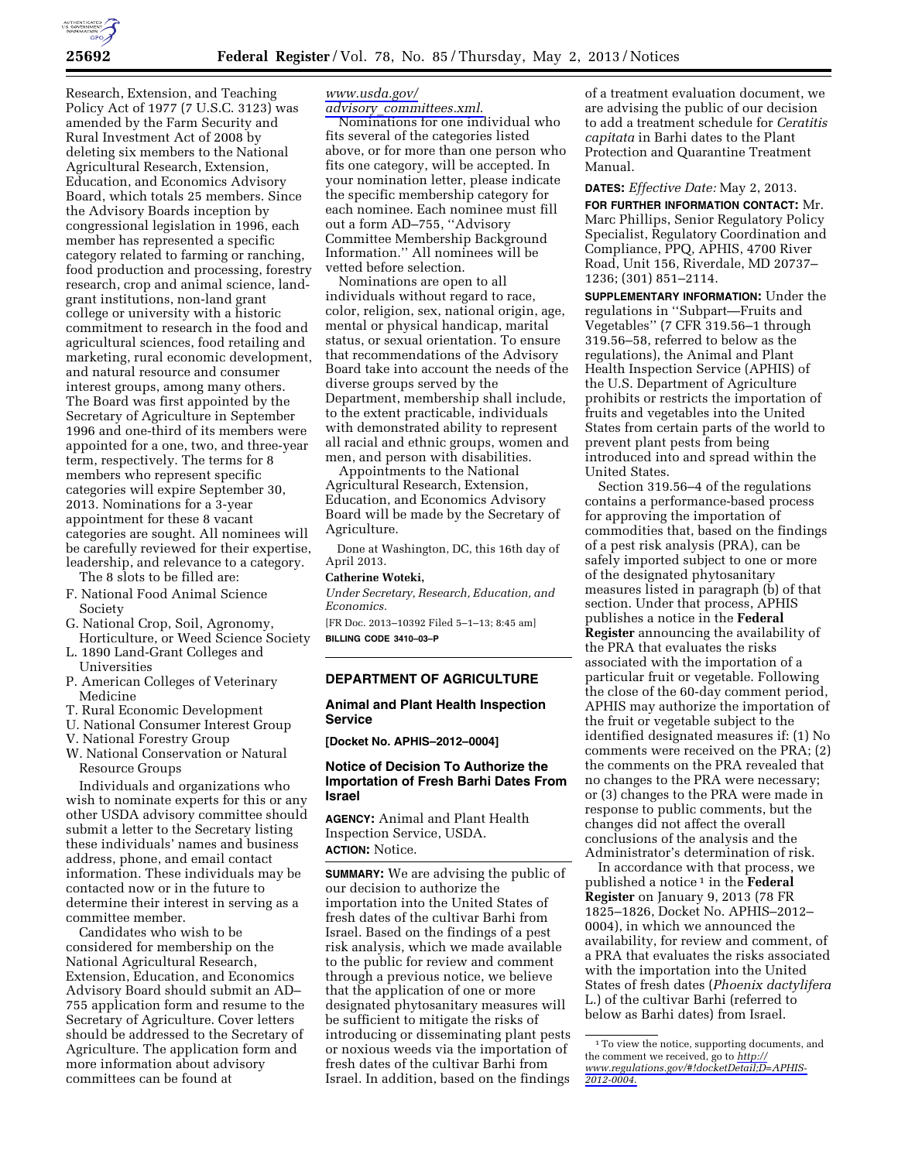

Research, Extension, and Teaching Policy Act of 1977 (7 U.S.C. 3123) was amended by the Farm Security and Rural Investment Act of 2008 by deleting six members to the National Agricultural Research, Extension, Education, and Economics Advisory Board, which totals 25 members. Since the Advisory Boards inception by congressional legislation in 1996, each member has represented a specific category related to farming or ranching, food production and processing, forestry research, crop and animal science, landgrant institutions, non-land grant college or university with a historic commitment to research in the food and agricultural sciences, food retailing and marketing, rural economic development, and natural resource and consumer interest groups, among many others. The Board was first appointed by the Secretary of Agriculture in September 1996 and one-third of its members were appointed for a one, two, and three-year term, respectively. The terms for 8 members who represent specific categories will expire September 30, 2013. Nominations for a 3-year appointment for these 8 vacant categories are sought. All nominees will be carefully reviewed for their expertise, leadership, and relevance to a category.

The 8 slots to be filled are:

- F. National Food Animal Science Society
- G. National Crop, Soil, Agronomy, Horticulture, or Weed Science Society
- L. 1890 Land-Grant Colleges and Universities
- P. American Colleges of Veterinary Medicine
- T. Rural Economic Development
- U. National Consumer Interest Group
- V. National Forestry Group
- W. National Conservation or Natural Resource Groups

Individuals and organizations who wish to nominate experts for this or any other USDA advisory committee should submit a letter to the Secretary listing these individuals' names and business address, phone, and email contact information. These individuals may be contacted now or in the future to determine their interest in serving as a committee member.

Candidates who wish to be considered for membership on the National Agricultural Research, Extension, Education, and Economics Advisory Board should submit an AD– 755 application form and resume to the Secretary of Agriculture. Cover letters should be addressed to the Secretary of Agriculture. The application form and more information about advisory committees can be found at

# *[www.usda.gov/](http://www.usda.gov/advisory_committees.xml)*

*advisory*\_*[committees.xml](http://www.usda.gov/advisory_committees.xml)*. Nominations for one individual who fits several of the categories listed above, or for more than one person who fits one category, will be accepted. In your nomination letter, please indicate the specific membership category for each nominee. Each nominee must fill out a form AD–755, ''Advisory Committee Membership Background Information.'' All nominees will be vetted before selection.

Nominations are open to all individuals without regard to race, color, religion, sex, national origin, age, mental or physical handicap, marital status, or sexual orientation. To ensure that recommendations of the Advisory Board take into account the needs of the diverse groups served by the Department, membership shall include, to the extent practicable, individuals with demonstrated ability to represent all racial and ethnic groups, women and men, and person with disabilities.

Appointments to the National Agricultural Research, Extension, Education, and Economics Advisory Board will be made by the Secretary of Agriculture.

Done at Washington, DC, this 16th day of April 2013.

#### **Catherine Woteki,**

*Under Secretary, Research, Education, and Economics.* 

[FR Doc. 2013–10392 Filed 5–1–13; 8:45 am] **BILLING CODE 3410–03–P** 

## **DEPARTMENT OF AGRICULTURE**

### **Animal and Plant Health Inspection Service**

**[Docket No. APHIS–2012–0004]** 

# **Notice of Decision To Authorize the Importation of Fresh Barhi Dates From Israel**

**AGENCY:** Animal and Plant Health Inspection Service, USDA. **ACTION:** Notice.

**SUMMARY:** We are advising the public of our decision to authorize the importation into the United States of fresh dates of the cultivar Barhi from Israel. Based on the findings of a pest risk analysis, which we made available to the public for review and comment through a previous notice, we believe that the application of one or more designated phytosanitary measures will be sufficient to mitigate the risks of introducing or disseminating plant pests or noxious weeds via the importation of fresh dates of the cultivar Barhi from Israel. In addition, based on the findings

of a treatment evaluation document, we are advising the public of our decision to add a treatment schedule for *Ceratitis capitata* in Barhi dates to the Plant Protection and Quarantine Treatment Manual.

#### **DATES:** *Effective Date:* May 2, 2013.

**FOR FURTHER INFORMATION CONTACT:** Mr. Marc Phillips, Senior Regulatory Policy Specialist, Regulatory Coordination and Compliance, PPQ, APHIS, 4700 River Road, Unit 156, Riverdale, MD 20737– 1236; (301) 851–2114.

**SUPPLEMENTARY INFORMATION:** Under the regulations in ''Subpart—Fruits and Vegetables'' (7 CFR 319.56–1 through 319.56–58, referred to below as the regulations), the Animal and Plant Health Inspection Service (APHIS) of the U.S. Department of Agriculture prohibits or restricts the importation of fruits and vegetables into the United States from certain parts of the world to prevent plant pests from being introduced into and spread within the United States.

Section 319.56–4 of the regulations contains a performance-based process for approving the importation of commodities that, based on the findings of a pest risk analysis (PRA), can be safely imported subject to one or more of the designated phytosanitary measures listed in paragraph (b) of that section. Under that process, APHIS publishes a notice in the **Federal Register** announcing the availability of the PRA that evaluates the risks associated with the importation of a particular fruit or vegetable. Following the close of the 60-day comment period, APHIS may authorize the importation of the fruit or vegetable subject to the identified designated measures if: (1) No comments were received on the PRA; (2) the comments on the PRA revealed that no changes to the PRA were necessary; or (3) changes to the PRA were made in response to public comments, but the changes did not affect the overall conclusions of the analysis and the Administrator's determination of risk.

In accordance with that process, we published a notice 1 in the **Federal Register** on January 9, 2013 (78 FR 1825–1826, Docket No. APHIS–2012– 0004), in which we announced the availability, for review and comment, of a PRA that evaluates the risks associated with the importation into the United States of fresh dates (*Phoenix dactylifera*  L.) of the cultivar Barhi (referred to below as Barhi dates) from Israel.

<sup>1</sup>To view the notice, supporting documents, and the comment we received, go to *[http://](http://www.regulations.gov/#!docketDetail;D=APHIS-2012-0004) [www.regulations.gov/#!docketDetail;D=APHIS-](http://www.regulations.gov/#!docketDetail;D=APHIS-2012-0004)[2012-0004](http://www.regulations.gov/#!docketDetail;D=APHIS-2012-0004)*.